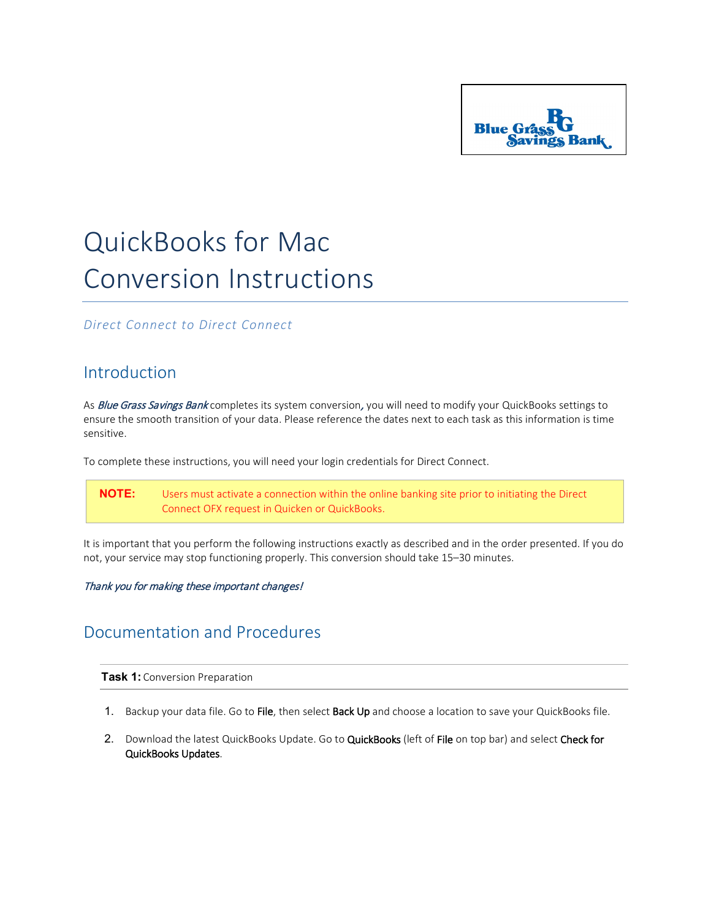

# QuickBooks for Mac Conversion Instructions

*Direct Connect to Direct Connect*

## Introduction

As Blue Grass Savings Bank completes its system conversion, you will need to modify your QuickBooks settings to ensure the smooth transition of your data. Please reference the dates next to each task as this information is time sensitive.

To complete these instructions, you will need your login credentials for Direct Connect.

**NOTE:** Users must activate a connection within the online banking site prior to initiating the Direct Connect OFX request in Quicken or QuickBooks.

It is important that you perform the following instructions exactly as described and in the order presented. If you do not, your service may stop functioning properly. This conversion should take 15–30 minutes.

### Thank you for making these important changes!

## Documentation and Procedures

**Task 1:** Conversion Preparation

- 1. Backup your data file. Go to File, then select Back Up and choose a location to save your QuickBooks file.
- 2. Download the latest QuickBooks Update. Go to QuickBooks (left of File on top bar) and select Check for QuickBooks Updates.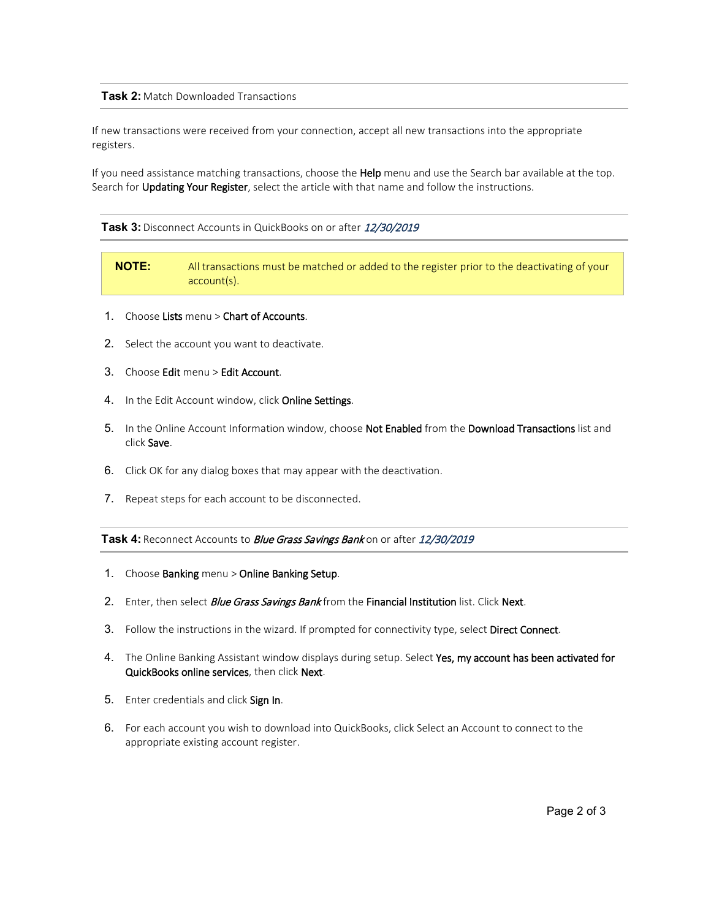### **Task 2:** Match Downloaded Transactions

If new transactions were received from your connection, accept all new transactions into the appropriate registers.

If you need assistance matching transactions, choose the Help menu and use the Search bar available at the top. Search for Updating Your Register, select the article with that name and follow the instructions.

#### **Task 3:** Disconnect Accounts in QuickBooks on or after 12/30/2019

**NOTE:** All transactions must be matched or added to the register prior to the deactivating of your account(s).

- 1. Choose Lists menu > Chart of Accounts.
- 2. Select the account you want to deactivate.
- 3. Choose Edit menu > Edit Account.
- 4. In the Edit Account window, click Online Settings.
- 5. In the Online Account Information window, choose Not Enabled from the Download Transactions list and click Save.
- 6. Click OK for any dialog boxes that may appear with the deactivation.
- 7. Repeat steps for each account to be disconnected.

Task 4: Reconnect Accounts to *Blue Grass Savings Bank* on or after 12/30/2019

- 1. Choose Banking menu > Online Banking Setup.
- 2. Enter, then select *Blue Grass Savings Bank* from the Financial Institution list. Click Next.
- 3. Follow the instructions in the wizard. If prompted for connectivity type, select Direct Connect.
- 4. The Online Banking Assistant window displays during setup. Select Yes, my account has been activated for QuickBooks online services, then click Next.
- 5. Enter credentials and click Sign In.
- 6. For each account you wish to download into QuickBooks, click Select an Account to connect to the appropriate existing account register.